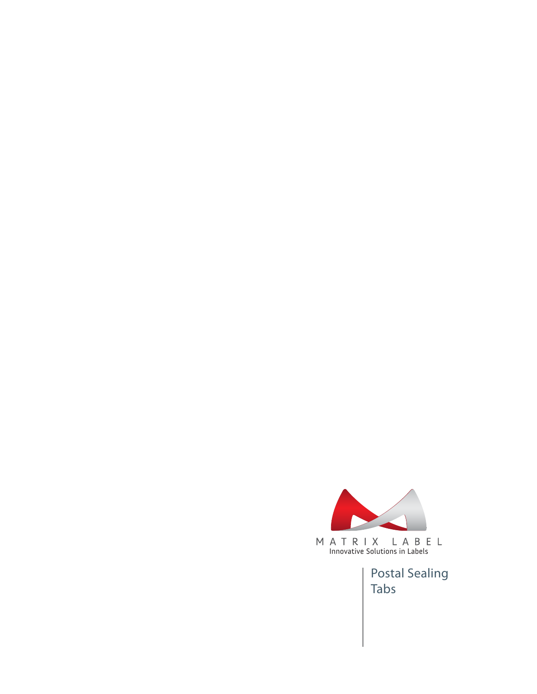

Postal Sealing Tabs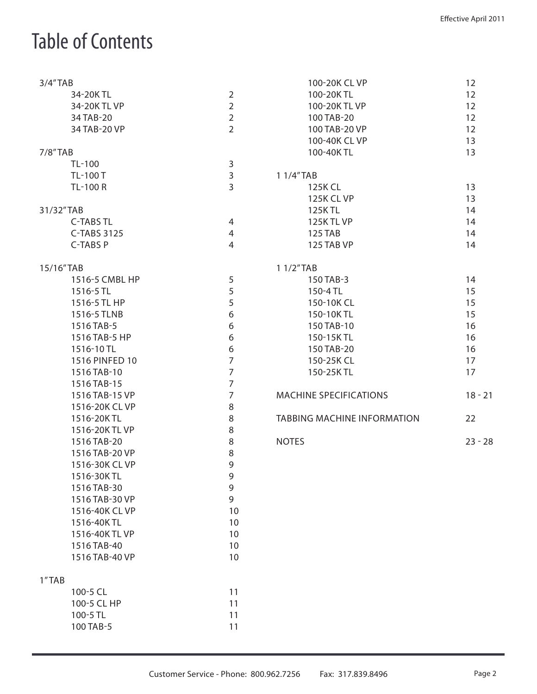# Table of Contents

| $3/4"$ TAB       |                  | 100-20K CL VP                      | 12        |
|------------------|------------------|------------------------------------|-----------|
| 34-20KTL         | $\overline{2}$   | 100-20KTL                          | 12        |
| 34-20K TL VP     | $\overline{2}$   | 100-20KTLVP                        | 12        |
| 34 TAB-20        | $\overline{2}$   | 100 TAB-20                         | 12        |
| 34 TAB-20 VP     | $\overline{2}$   | 100 TAB-20 VP                      | 12        |
|                  |                  | 100-40K CL VP                      | 13        |
| $7/8"$ TAB       |                  | 100-40KTL                          | 13        |
| TL-100           | $\overline{3}$   |                                    |           |
| TL-100 T         | $\overline{3}$   | 1 1/4"TAB                          |           |
| <b>TL-100 R</b>  | $\overline{3}$   | 125K CL                            | 13        |
|                  |                  | <b>125K CL VP</b>                  | 13        |
| 31/32"TAB        |                  | <b>125KTL</b>                      | 14        |
| <b>C-TABS TL</b> | 4                | <b>125K TL VP</b>                  | 14        |
| C-TABS 3125      | $\overline{4}$   | <b>125 TAB</b>                     | 14        |
| <b>C-TABSP</b>   | $\overline{4}$   | 125 TAB VP                         | 14        |
|                  |                  |                                    |           |
| 15/16"TAB        |                  | 1 1/2"TAB                          |           |
| 1516-5 CMBL HP   | 5                | 150 TAB-3                          | 14        |
| 1516-5 TL        | 5                | 150-4 TL                           | 15        |
| 1516-5 TL HP     | 5                | 150-10K CL                         | 15        |
| 1516-5 TLNB      | $\boldsymbol{6}$ | 150-10KTL                          | 15        |
| 1516 TAB-5       | 6                | 150 TAB-10                         | 16        |
| 1516 TAB-5 HP    | 6                | 150-15KTL                          | 16        |
| 1516-10 TL       | 6                | 150 TAB-20                         | 16        |
| 1516 PINFED 10   | $\overline{7}$   | 150-25K CL                         | 17        |
| 1516 TAB-10      | $\overline{7}$   | 150-25KTL                          | 17        |
| 1516 TAB-15      | $\overline{7}$   |                                    |           |
| 1516 TAB-15 VP   | $\overline{7}$   | <b>MACHINE SPECIFICATIONS</b>      | $18 - 21$ |
| 1516-20K CL VP   | $\,8\,$          |                                    |           |
| 1516-20KTL       | $\,8\,$          | <b>TABBING MACHINE INFORMATION</b> | 22        |
| 1516-20KTLVP     | $\,8\,$          |                                    |           |
| 1516 TAB-20      | $\,8\,$          | <b>NOTES</b>                       | $23 - 28$ |
| 1516 TAB-20 VP   | 8                |                                    |           |
| 1516-30K CL VP   | 9                |                                    |           |
| 1516-30KTL       | $\mathsf 9$      |                                    |           |
| 1516 TAB-30      | $\mathsf 9$      |                                    |           |
| 1516 TAB-30 VP   | 9                |                                    |           |
| 1516-40K CL VP   | 10               |                                    |           |
| 1516-40KTL       |                  |                                    |           |
| 1516-40KTLVP     | 10               |                                    |           |
|                  | 10               |                                    |           |
| 1516 TAB-40      | 10               |                                    |           |
| 1516 TAB-40 VP   | 10               |                                    |           |
| 1"TAB            |                  |                                    |           |
| 100-5 CL         | 11               |                                    |           |
| 100-5 CL HP      | 11               |                                    |           |
| 100-5 TL         | 11               |                                    |           |
| 100 TAB-5        | 11               |                                    |           |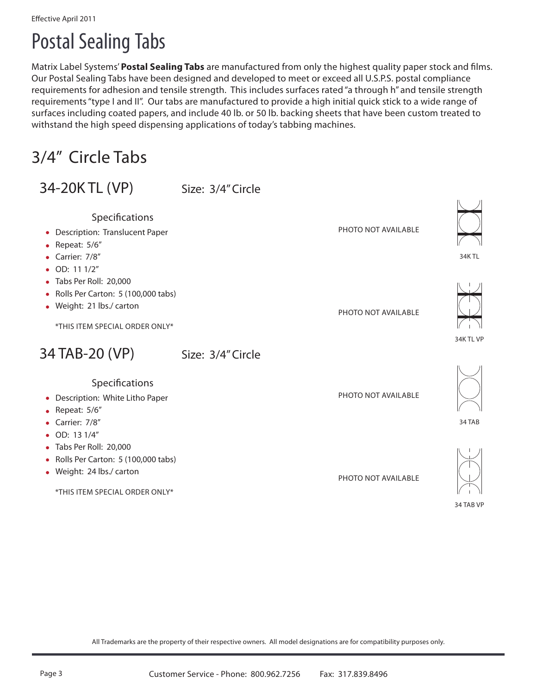Matrix Label Systems' **Postal Sealing Tabs** are manufactured from only the highest quality paper stock and films.<br>Our Postal Sealing Tabs have been designed and developed to meet or exceed all U.S.P.S. postal compliance Our Postal Sealing Tabs have been designed and developed to meet or exceed all U.S.P.S. postal compliance requirements for adhesion and tensile strength. This includes surfaces rated "a through h" and tensile strength requirements "type I and II". Our tabs are manufactured to provide a high initial quick stick to a wide range of surfaces including coated papers, and include 40 lb. or 50 lb. backing sheets that have been custom treated to withstand the high speed dispensing applications of today's tabbing machines. **س**<br>Matrix Label Systems' **Postal Sea** 

# 3/4" Circle Tabs

| 34-20KTL (VP)                                                                                                                                   | Size: 3/4" Circle |                     |           |
|-------------------------------------------------------------------------------------------------------------------------------------------------|-------------------|---------------------|-----------|
| Specifications<br><b>Description: Translucent Paper</b><br>٠<br>Repeat: 5/6"<br>Carrier: 7/8"<br>OD: 11 1/2"                                    |                   | PHOTO NOT AVAILABLE | 34KTL     |
| Tabs Per Roll: 20,000<br>$\bullet$<br>Rolls Per Carton: 5 (100,000 tabs)<br>٠<br>Weight: 21 lbs./ carton<br>٠<br>*THIS ITEM SPECIAL ORDER ONLY* |                   | PHOTO NOT AVAILABLE | 34K TL VP |
| 34 TAB-20 (VP)                                                                                                                                  | Size: 3/4" Circle |                     |           |
| Specifications<br>Description: White Litho Paper<br>٠<br>Repeat: 5/6"<br>Carrier: 7/8"<br>OD: 13 1/4"<br>$\bullet$                              |                   | PHOTO NOT AVAILABLE | 34 TAB    |
| Tabs Per Roll: 20,000<br>۰<br>Rolls Per Carton: 5 (100,000 tabs)<br>٠<br>Weight: 24 lbs./ carton<br>۰<br>*THIS ITEM SPECIAL ORDER ONLY*         |                   | PHOTO NOT AVAILABLE |           |

All Trademarks are the property of their respective owners. All model designations are for compatibility purposes only.

34 TAB VP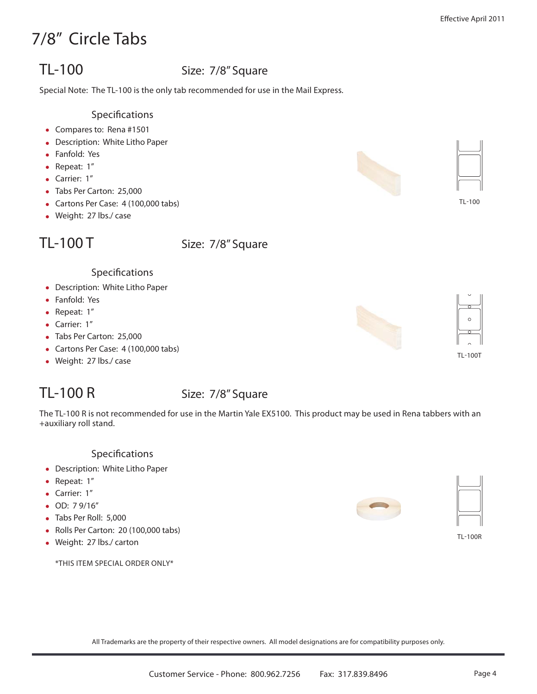# 7/8" Circle Tabs

# TL-100 Size: 7/8" Square

Special Note: The TL-100 is the only tab recommended for use in the Mail Express.

### Specifications

- Compares to: Rena #1501
- Description: White Litho Paper
- Fanfold: Yes
- Repeat: 1"
- Carrier: 1"
- Tabs Per Carton: 25,000
- Cartons Per Case: 4 (100,000 tabs)
- Weight: 27 lbs./ case

# TL-100 T Size: 7/8" Square

### Specifications

- Description: White Litho Paper
- Fanfold: Yes
- Repeat: 1"
- Carrier: 1"
- Tabs Per Carton: 25,000
- Cartons Per Case: 4 (100,000 tabs)
- Weight: 27 lbs./ case

# TL-100 R Size: 7/8" Square

The TL-100 R is not recommended for use in the Martin Yale EX5100. This product may be used in Rena tabbers with an +auxiliary roll stand.

### Specifications

- Description: White Litho Paper
- Repeat: 1"
- Carrier: 1"
- OD: 7 9/16"
- Tabs Per Roll: 5,000
- Rolls Per Carton: 20 (100,000 tabs)
- Weight: 27 lbs./ carton

\*THIS ITEM SPECIAL ORDER ONLY\*





TL-100R







TL-100

TL-100T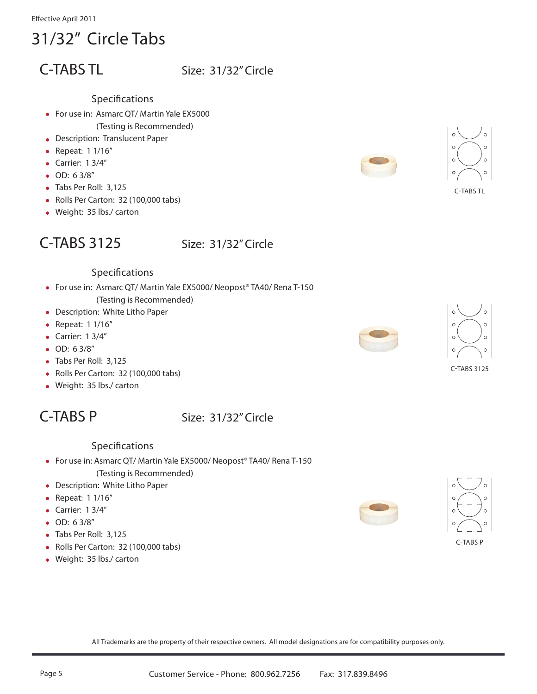# 31/32" Circle Tabs

C-TABS TL<br>Size: 31/32" Circle

### **Specifications**

- For use in: Asmarc QT/ Martin Yale EX5000 (Testing is Recommended)
- Description: Translucent Paper
- Repeat: 1 1/16"
- Carrier: 1 3/4"
- OD: 6 3/8"
- Tabs Per Roll: 3,125
- Rolls Per Carton: 32 (100,000 tabs)
- Weight: 35 lbs./ carton

# C-TABS 3125 Size: 31/32" Circle

### Specifications

- For use in: Asmarc QT/ Martin Yale EX5000/ Neopost® TA40/ Rena T-150 (Testing is Recommended)
- Description: White Litho Paper
- Repeat: 1 1/16"
- Carrier: 1 3/4"
- OD: 6 3/8"
- Tabs Per Roll: 3,125
- Rolls Per Carton: 32 (100,000 tabs)
- Weight: 35 lbs./ carton

# C-TABS P Size: 31/32" Circle

### Specifications

- For use in: Asmarc QT/ Martin Yale EX5000/ Neopost® TA40/ Rena T-150 (Testing is Recommended)
- Description: White Litho Paper
- Repeat: 1 1/16"
- Carrier: 1 3/4"
- OD: 6 3/8"
- Tabs Per Roll: 3,125
- Rolls Per Carton: 32 (100,000 tabs)
- Weight: 35 lbs./ carton









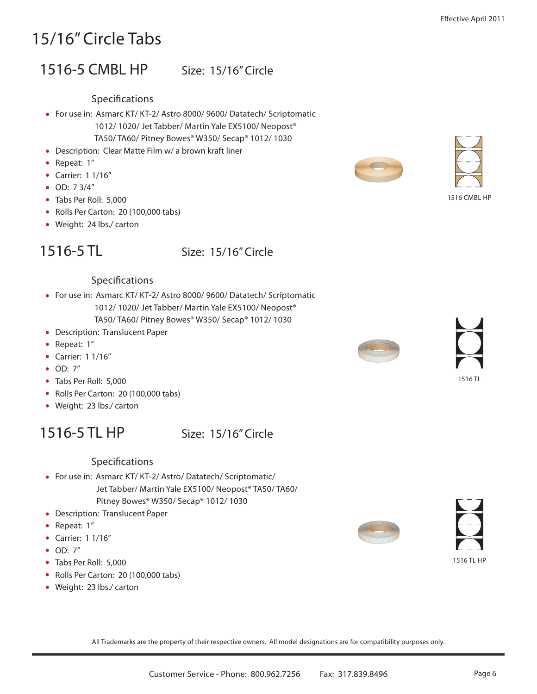# 15/16" Circle Tabs

# 1516-5 CMBL HP Size: 15/16" Circle

### **Specifications**

For use in: Asmarc KT/ KT-2/ Astro 8000/ 9600/ Datatech/ Scriptomatic 1012/ 1020/ Jet Tabber/ Martin Yale EX5100/ Neopost® TA50/ TA60/ Pitney Bowes® W350/ Secap® 1012/ 1030

- Description: Clear Matte Film w/ a brown kraft liner
- Repeat: 1"
- Carrier: 1 1/16"
- OD: 7 3/4"
- Tabs Per Roll: 5,000
- Rolls Per Carton: 20 (100,000 tabs)
- Weight: 24 lbs./ carton

## 1516-5 TL Size: 15/16" Circle

### Specifications

- For use in: Asmarc KT/ KT-2/ Astro 8000/ 9600/ Datatech/ Scriptomatic 1012/ 1020/ Jet Tabber/ Martin Yale EX5100/ Neopost® TA50/ TA60/ Pitney Bowes® W350/ Secap® 1012/ 1030
- Description: Translucent Paper
- Repeat: 1"
- Carrier: 1 1/16"
- OD: 7"
- Tabs Per Roll: 5,000
- Rolls Per Carton: 20 (100,000 tabs)
- Weight: 23 lbs./ carton

# 1516-5 TL HP Size: 15/16" Circle

### Specifications

- For use in: Asmarc KT/ KT-2/ Astro/ Datatech/ Scriptomatic/ Jet Tabber/ Martin Yale EX5100/ Neopost® TA50/ TA60/ Pitney Bowes® W350/ Secap® 1012/ 1030
- Description: Translucent Paper
- Repeat: 1"
- Carrier: 1 1/16"
- OD: 7"
- Tabs Per Roll: 5,000
- Rolls Per Carton: 20 (100,000 tabs)
- Weight: 23 lbs./ carton

All Trademarks are the property of their respective owners. All model designations are for compatibility purposes only.





1516 CMBL HP





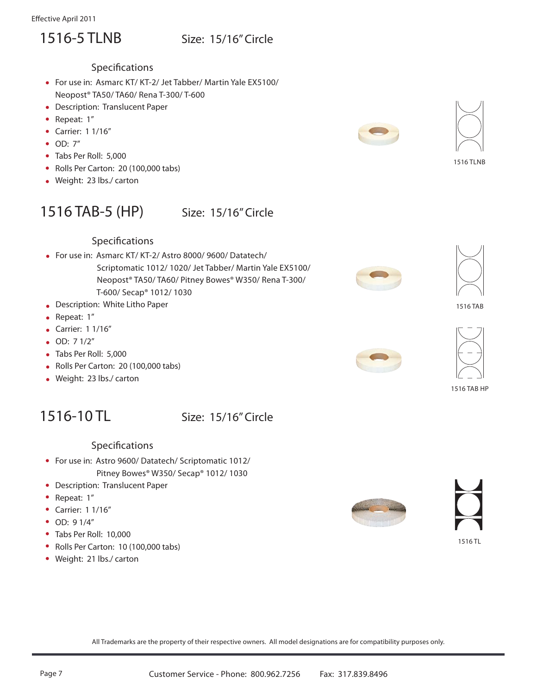## 1516-5 TLNB Size: 15/16" Circle

### Specifications

- For use in: Asmarc KT/ KT-2/ Jet Tabber/ Martin Yale EX5100/ Neopost® TA50/ TA60/ Rena T-300/ T-600
- Description: Translucent Paper
- Repeat: 1"
- Carrier: 1 1/16"
- OD: 7"
- Tabs Per Roll: 5,000
- Rolls Per Carton: 20 (100,000 tabs)
- Weight: 23 lbs./ carton

# 1516 TAB-5 (HP) Size: 15/16" Circle

- Specifications
- For use in: Asmarc KT/ KT-2/ Astro 8000/ 9600/ Datatech/ Scriptomatic 1012/ 1020/ Jet Tabber/ Martin Yale EX5100/ Neopost® TA50/ TA60/ Pitney Bowes® W350/ Rena T-300/ T-600/ Secap® 1012/ 1030
- Description: White Litho Paper
- Repeat: 1"
- Carrier: 1 1/16"
- OD: 7 1/2"
- Tabs Per Roll: 5,000
- Rolls Per Carton: 20 (100,000 tabs)
- Weight: 23 lbs./ carton

# 1516-10 TL Size: 15/16" Circle

### **Specifications**

- For use in: Astro 9600/ Datatech/ Scriptomatic 1012/ Pitney Bowes® W350/ Secap® 1012/ 1030
- Description: Translucent Paper
- Repeat: 1"
- Carrier: 1 1/16"
- OD: 9 1/4"
- Tabs Per Roll: 10,000
- Rolls Per Carton: 10 (100,000 tabs)
- Weight: 21 lbs./ carton





1516 TL

1516 TLNB





1516 TAB HP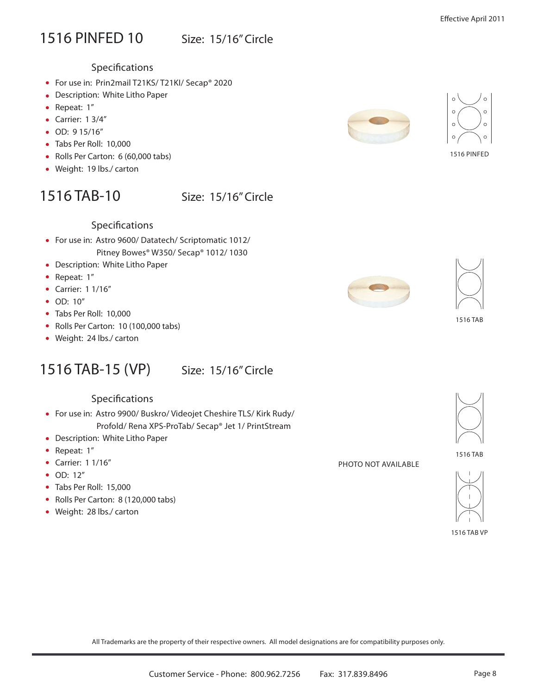# 1516 PINFED 10 Size: 15/16" Circle

#### Specifications

- For use in: Prin2mail T21KS/ T21KI/ Secap® 2020
- Description: White Litho Paper
- Repeat: 1"
- $\bullet$  Carrier: 1 3/4"
- OD: 9 15/16"
- Tabs Per Roll: 10,000
- Rolls Per Carton: 6 (60,000 tabs)
- Weight: 19 lbs./ carton

# 1516 TAB-10 Size: 15/16" Circle

### Specifications

- For use in: Astro 9600/ Datatech/ Scriptomatic 1012/ Pitney Bowes® W350/ Secap® 1012/ 1030
- Description: White Litho Paper
- Repeat: 1"
- Carrier: 1 1/16"
- $\bullet$  OD: 10"
- Tabs Per Roll: 10,000
- Rolls Per Carton: 10 (100,000 tabs)
- Weight: 24 lbs./ carton

# 1516 TAB-15 (VP) Size: 15/16" Circle

### Specifications

- For use in: Astro 9900/ Buskro/ Videojet Cheshire TLS/ Kirk Rudy/ Profold/ Rena XPS-ProTab/ Secap® Jet 1/ PrintStream
- Description: White Litho Paper
- Repeat: 1"
- Carrier: 1 1/16"
- $\bullet$  OD: 12"
- Tabs Per Roll: 15,000
- Rolls Per Carton: 8 (120,000 tabs)
- Weight: 28 lbs./ carton





1516 PINFED





1516 TAB



#### 1516 TAB



All Trademarks are the property of their respective owners. All model designations are for compatibility purposes only.

PHOTO NOT AVAILABLE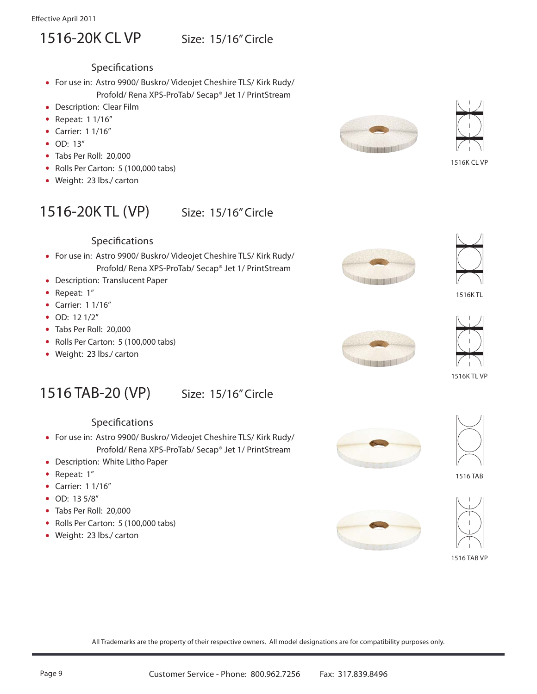# 1516-20K CL VP Size: 15/16" Circle

Specifications

- For use in: Astro 9900/ Buskro/ Videojet Cheshire TLS/ Kirk Rudy/ Profold/ Rena XPS-ProTab/ Secap® Jet 1/ PrintStream
- Description: Clear Film
- Repeat: 1 1/16"
- Carrier: 1 1/16"
- OD: 13"
- Tabs Per Roll: 20,000
- Rolls Per Carton: 5 (100,000 tabs)
- Weight: 23 lbs./ carton

# 1516-20K TL (VP) Size: 15/16" Circle

### Specifications

- For use in: Astro 9900/ Buskro/ Videojet Cheshire TLS/ Kirk Rudy/ Profold/ Rena XPS-ProTab/ Secap® Jet 1/ PrintStream
- Description: Translucent Paper
- Repeat: 1"
- Carrier: 1 1/16"
- OD: 12 1/2"
- Tabs Per Roll: 20,000
- Rolls Per Carton: 5 (100,000 tabs)
- Weight: 23 lbs./ carton

# 1516 TAB-20 (VP) Size: 15/16" Circle

### Specifications

- For use in: Astro 9900/ Buskro/ Videojet Cheshire TLS/ Kirk Rudy/ Profold/ Rena XPS-ProTab/ Secap® Jet 1/ PrintStream
- Description: White Litho Paper
- Repeat: 1"
- Carrier: 1 1/16"
- $\bullet$  OD: 13 5/8"
- Tabs Per Roll: 20,000
- Rolls Per Carton: 5 (100,000 tabs)
- Weight: 23 lbs./ carton















1516 TAB







1516 TAB VP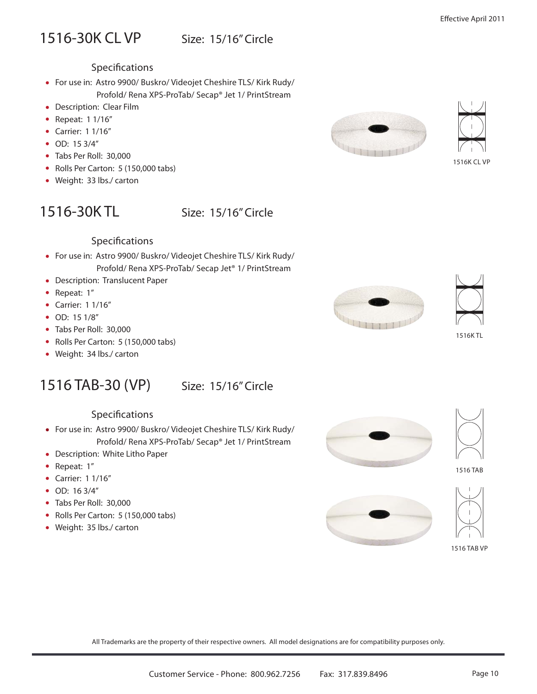1516K CL VP

# 1516-30K CL VP Size: 15/16" Circle

### Specifications

- For use in: Astro 9900/ Buskro/ Videojet Cheshire TLS/ Kirk Rudy/ Profold/ Rena XPS-ProTab/ Secap® Jet 1/ PrintStream
- Description: Clear Film
- Repeat: 1 1/16"
- Carrier: 1 1/16"
- OD: 15 3/4"
- Tabs Per Roll: 30,000
- Rolls Per Carton: 5 (150,000 tabs)
- Weight: 33 lbs./ carton

## 1516-30K TL Size: 15/16" Circle

### Specifications

- For use in: Astro 9900/ Buskro/ Videojet Cheshire TLS/ Kirk Rudy/ Profold/ Rena XPS-ProTab/ Secap Jet® 1/ PrintStream
- Description: Translucent Paper
- Repeat: 1"
- Carrier: 1 1/16"
- OD: 15 1/8"
- Tabs Per Roll: 30,000
- Rolls Per Carton: 5 (150,000 tabs)
- Weight: 34 lbs./ carton

# 1516 TAB-30 (VP) Size: 15/16" Circle

### Specifications

- For use in: Astro 9900/ Buskro/ Videojet Cheshire TLS/ Kirk Rudy/ Profold/ Rena XPS-ProTab/ Secap® Jet 1/ PrintStream
- Description: White Litho Paper
- Repeat: 1"
- Carrier: 1 1/16"
- OD: 16 3/4"
- Tabs Per Roll: 30,000
- Rolls Per Carton: 5 (150,000 tabs)
- Weight: 35 lbs./ carton













1516 TAB VP

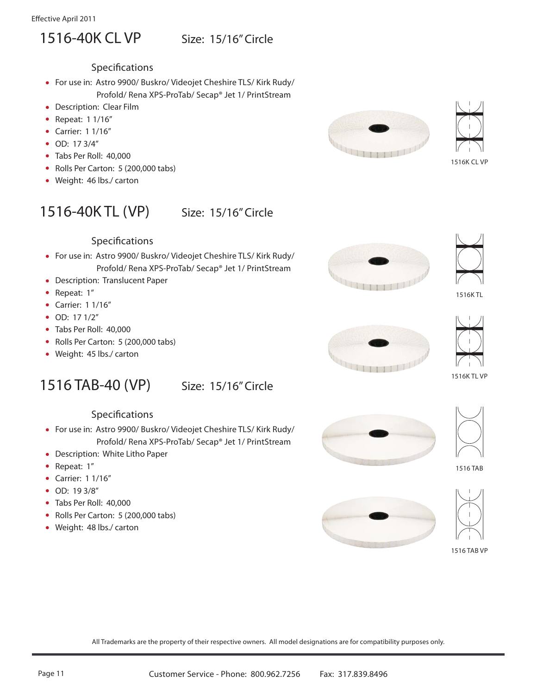# 1516-40K CL VP Size: 15/16" Circle

Specifications

- For use in: Astro 9900/ Buskro/ Videojet Cheshire TLS/ Kirk Rudy/ Profold/ Rena XPS-ProTab/ Secap® Jet 1/ PrintStream
- Description: Clear Film
- Repeat: 1 1/16"
- Carrier: 1 1/16"
- OD: 17 3/4"
- Tabs Per Roll: 40,000
- Rolls Per Carton: 5 (200,000 tabs)
- Weight: 46 lbs./ carton

# 1516-40K TL (VP) Size: 15/16" Circle



- Specifications
- For use in: Astro 9900/ Buskro/ Videojet Cheshire TLS/ Kirk Rudy/ Profold/ Rena XPS-ProTab/ Secap® Jet 1/ PrintStream
- Description: Translucent Paper
- Repeat: 1"
- Carrier: 1 1/16"
- OD: 17 1/2"
- Tabs Per Roll: 40,000
- Rolls Per Carton: 5 (200,000 tabs)
- Weight: 45 lbs./ carton

# 1516 TAB-40 (VP) Size: 15/16" Circle

### Specifications

- For use in: Astro 9900/ Buskro/ Videojet Cheshire TLS/ Kirk Rudy/ Profold/ Rena XPS-ProTab/ Secap® Jet 1/ PrintStream
- Description: White Litho Paper
- Repeat: 1"
- Carrier: 1 1/16"
- OD: 19 3/8"
- Tabs Per Roll: 40,000
- Rolls Per Carton: 5 (200,000 tabs)
- Weight: 48 lbs./ carton













1516K TL VP









1516 TAB VP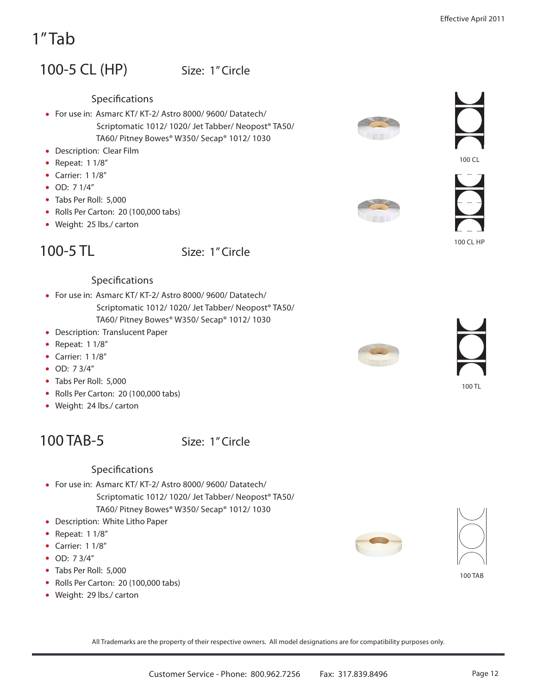# 1" Tab

# 100-5 CL (HP) Size: 1" Circle

**Specifications** 

- For use in: Asmarc KT/ KT-2/ Astro 8000/ 9600/ Datatech/ Scriptomatic 1012/ 1020/ Jet Tabber/ Neopost® TA50/ TA60/ Pitney Bowes® W350/ Secap® 1012/ 1030
- Description: Clear Film
- Repeat: 1 1/8"
- Carrier: 1 1/8"
- OD: 7 1/4"
- Tabs Per Roll: 5,000
- Rolls Per Carton: 20 (100,000 tabs)
- Weight: 25 lbs./ carton

### 100-5 TL
Size: 1" Circle

### Specifications

- For use in: Asmarc KT/ KT-2/ Astro 8000/ 9600/ Datatech/ Scriptomatic 1012/ 1020/ Jet Tabber/ Neopost® TA50/ TA60/ Pitney Bowes® W350/ Secap® 1012/ 1030
- Description: Translucent Paper
- Repeat: 1 1/8"
- Carrier: 1 1/8"
- OD: 7 3/4"
- Tabs Per Roll: 5,000
- Rolls Per Carton: 20 (100,000 tabs)
- Weight: 24 lbs./ carton

# 100 TAB-5 Size: 1" Circle

#### **Specifications**

- For use in: Asmarc KT/ KT-2/ Astro 8000/ 9600/ Datatech/
	- Scriptomatic 1012/ 1020/ Jet Tabber/ Neopost® TA50/ TA60/ Pitney Bowes® W350/ Secap® 1012/ 1030
- Description: White Litho Paper
- Repeat: 1 1/8"
- Carrier: 1 1/8"
- OD: 7 3/4"
- Tabs Per Roll: 5,000
- Rolls Per Carton: 20 (100,000 tabs)
- Weight: 29 lbs./ carton

All Trademarks are the property of their respective owners. All model designations are for compatibility purposes only.









100 TL

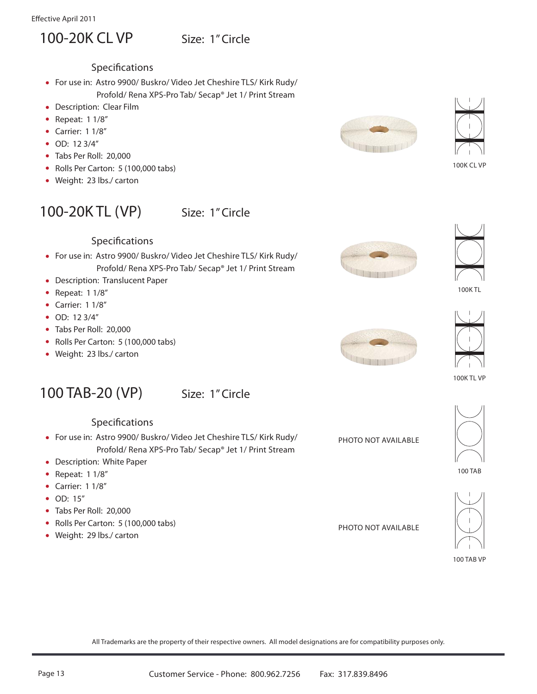# 100-20K CL VP Size: 1" Circle

### Specifications

- For use in: Astro 9900/ Buskro/ Video Jet Cheshire TLS/ Kirk Rudy/ Profold/ Rena XPS-Pro Tab/ Secap® Jet 1/ Print Stream
- Description: Clear Film
- Repeat: 1 1/8"
- $\bullet$  Carrier: 1 1/8"
- OD: 12 3/4"
- Tabs Per Roll: 20,000
- Rolls Per Carton: 5 (100,000 tabs)
- Weight: 23 lbs./ carton

# 100-20K TL (VP) Size: 1" Circle

- Specifications
- For use in: Astro 9900/ Buskro/ Video Jet Cheshire TLS/ Kirk Rudy/ Profold/ Rena XPS-Pro Tab/ Secap® Jet 1/ Print Stream
- Description: Translucent Paper
- Repeat: 1 1/8"
- $\bullet$  Carrier: 1 1/8"
- OD: 12 3/4"
- Tabs Per Roll: 20,000
- Rolls Per Carton: 5 (100,000 tabs)
- Weight: 23 lbs./ carton









#### 100K TL



PHOTO NOT AVAILABLE

PHOTO NOT AVAILABLE



100K TL VP



100 TAB



100 TAB VP

All Trademarks are the property of their respective owners. All model designations are for compatibility purposes only.

Specifications

100 TAB-20 (VP) Size: 1" Circle

- For use in: Astro 9900/ Buskro/ Video Jet Cheshire TLS/ Kirk Rudy/ Profold/ Rena XPS-Pro Tab/ Secap® Jet 1/ Print Stream
- Description: White Paper
- Repeat: 1 1/8"
- Carrier: 1 1/8"
- $\bullet$  OD: 15"
- Tabs Per Roll: 20,000
- Rolls Per Carton: 5 (100,000 tabs)
- Weight: 29 lbs./ carton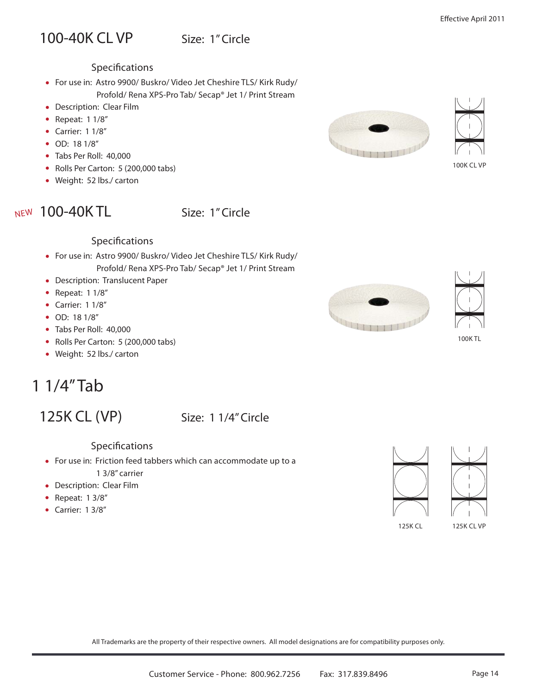# 100-40K CL VP Size: 1" Circle

#### Specifications

- For use in: Astro 9900/ Buskro/ Video Jet Cheshire TLS/ Kirk Rudy/ Profold/ Rena XPS-Pro Tab/ Secap® Jet 1/ Print Stream
- Description: Clear Film
- Repeat: 1 1/8"
- Carrier: 1 1/8"
- OD: 18 1/8"
- Tabs Per Roll: 40,000
- Rolls Per Carton: 5 (200,000 tabs)
- Weight: 52 lbs./ carton

# NEW 100-40KTL Size: 1" Circle

### Specifications

- For use in: Astro 9900/ Buskro/ Video Jet Cheshire TLS/ Kirk Rudy/ Profold/ Rena XPS-Pro Tab/ Secap® Jet 1/ Print Stream
- Description: Translucent Paper
- Repeat: 1 1/8"
- $\bullet$  Carrier: 1 1/8"
- OD: 18 1/8"
- Tabs Per Roll: 40,000
- Rolls Per Carton: 5 (200,000 tabs)
- Weight: 52 lbs./ carton

# 1 1/4" Tab

# 125K CL (VP) Size: 1 1/4" Circle

#### **Specifications**

- For use in: Friction feed tabbers which can accommodate up to a 1 3/8" carrier
- Description: Clear Film
- Repeat: 1 3/8"
- Carrier: 1 3/8"









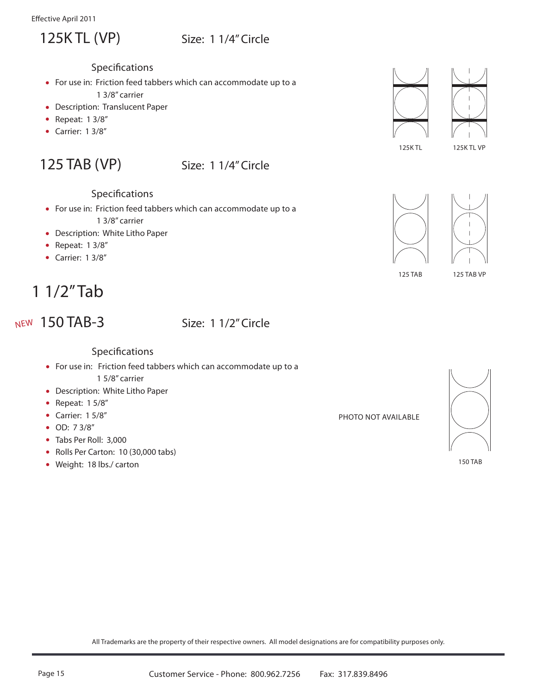## 125K TL (VP) Size: 1 1/4" Circle

- Specifications
- For use in: Friction feed tabbers which can accommodate up to a 1 3/8" carrier
- Description: Translucent Paper
- Repeat: 1 3/8"
- $\bullet$  Carrier: 1 3/8"

# 125 TAB (VP) Size: 1 1/4" Circle

### **Specifications**

- For use in: Friction feed tabbers which can accommodate up to a 1 3/8" carrier
- Description: White Litho Paper
- Repeat: 1 3/8"
- Carrier: 1 3/8"

# 1 1/2" Tab

**NEW 150 TAB-3** 

### Size: 1 1/2" Circle



- For use in: Friction feed tabbers which can accommodate up to a 1 5/8" carrier
- Description: White Litho Paper
- Repeat: 1 5/8"
- Carrier: 1 5/8"
- OD: 7 3/8"
- Tabs Per Roll: 3,000
- Rolls Per Carton: 10 (30,000 tabs)
- Weight: 18 lbs./ carton





125K TL 125K TL VP



125 TAB 125 TAB VP

PHOTO NOT AVAILABLE



150 TAB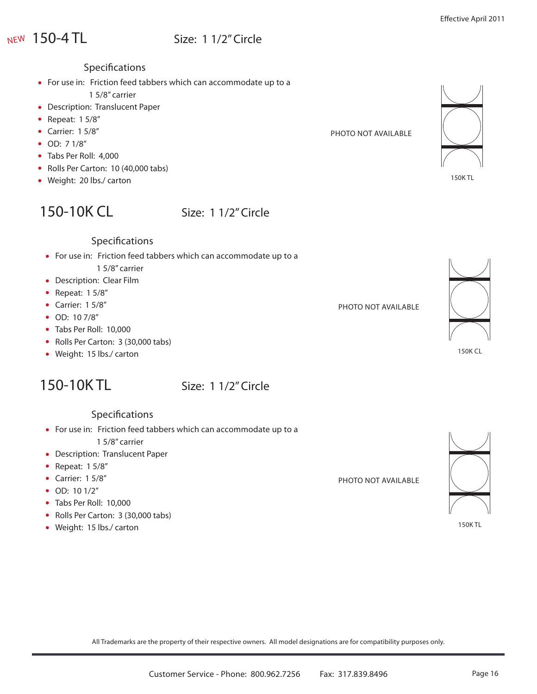## Size: 1 1/2" Circle

### Specifications

- For use in: Friction feed tabbers which can accommodate up to a
- 1 5/8" carrier • Description: Translucent Paper
- Repeat: 1 5/8"
- $\bullet$  Carrier: 15/8"
- OD: 7 1/8"
- Tabs Per Roll: 4,000
- Rolls Per Carton: 10 (40,000 tabs)
- Weight: 20 lbs./ carton

## 150-10K CL Size: 1 1/2" Circle

### Specifications

- For use in: Friction feed tabbers which can accommodate up to a
	- 1 5/8" carrier
- Description: Clear Film
- Repeat: 1 5/8"
- $\bullet$  Carrier: 15/8"
- OD: 10 7/8"
- Tabs Per Roll: 10,000
- Rolls Per Carton: 3 (30,000 tabs)
- Weight: 15 lbs./ carton

# 150-10K TL Size: 1 1/2" Circle

### Specifications

For use in: Friction feed tabbers which can accommodate up to a

1 5/8" carrier

- Description: Translucent Paper
- Repeat: 1 5/8"
- $\bullet$  Carrier: 15/8"
- OD: 10 1/2"
- Tabs Per Roll: 10,000
- Rolls Per Carton: 3 (30,000 tabs)
- Weight: 15 lbs./ carton

All Trademarks are the property of their respective owners. All model designations are for compatibility purposes only.



150K TL



PHOTO NOT AVAILABLE





150K TL

PHOTO NOT AVAILABLE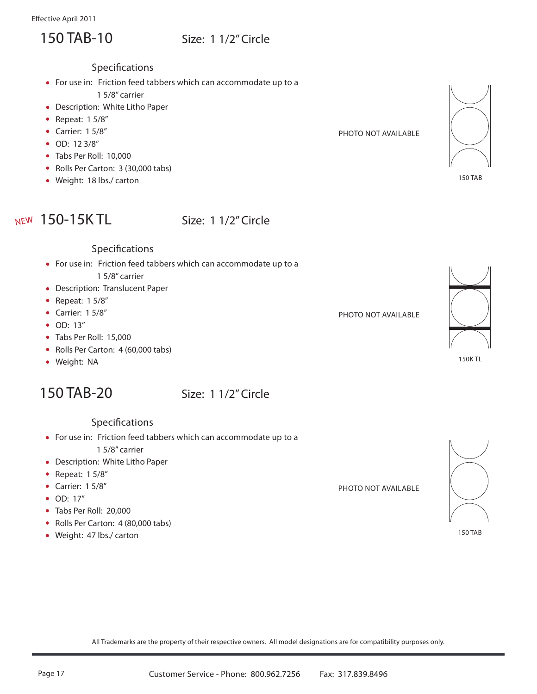## 150 TAB-10 Size: 1 1/2" Circle

Specifications

- For use in: Friction feed tabbers which can accommodate up to a
	- 1 5/8" carrier
- Description: White Litho Paper
- Repeat: 1 5/8"
- Carrier: 1 5/8"
- OD: 12 3/8"
- Tabs Per Roll: 10,000
- Rolls Per Carton: 3 (30,000 tabs)
- Weight: 18 lbs./ carton

# NEW 150-15KTL

# Size: 1 1/2" Circle

- Specifications
- For use in: Friction feed tabbers which can accommodate up to a 1 5/8" carrier
- Description: Translucent Paper
- Repeat: 1 5/8"
- Carrier: 1 5/8"
- $\bullet$  OD: 13"
- Tabs Per Roll: 15,000
- Rolls Per Carton: 4 (60,000 tabs)
- Weight: NA

# 150 TAB-20 Size: 1 1/2" Circle

- Specifications
- For use in: Friction feed tabbers which can accommodate up to a

1 5/8" carrier

- Description: White Litho Paper
- Repeat: 1 5/8"
- $\bullet$  Carrier: 15/8"
- OD: 17"
- Tabs Per Roll: 20,000
- Rolls Per Carton: 4 (80,000 tabs)
- Weight: 47 lbs./ carton

150 TAB



PHOTO NOT AVAILABLE

PHOTO NOT AVAILABLE



PHOTO NOT AVAILABLE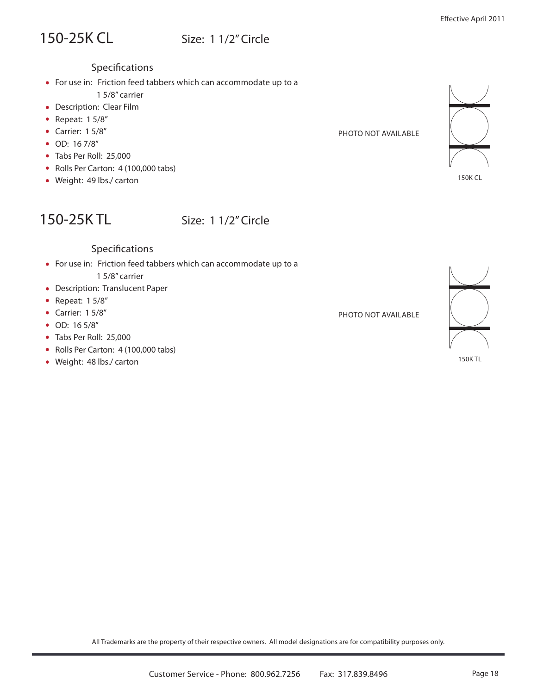# 150-25K CL Size: 1 1/2" Circle

### Specifications

- For use in: Friction feed tabbers which can accommodate up to a
	- 1 5/8" carrier
- Description: Clear Film
- Repeat: 1 5/8"
- $\bullet$  Carrier: 15/8"
- OD: 16 7/8"
- Tabs Per Roll: 25,000
- Rolls Per Carton: 4 (100,000 tabs)
- Weight: 49 lbs./ carton

## 150-25K TL Size: 1 1/2" Circle

### Specifications

- For use in: Friction feed tabbers which can accommodate up to a 1 5/8" carrier
- Description: Translucent Paper
- Repeat: 15/8"
- $\bullet$  Carrier: 15/8"
- OD: 16 5/8"
- Tabs Per Roll: 25,000
- Rolls Per Carton: 4 (100,000 tabs)
- Weight: 48 lbs./ carton

PHOTO NOT AVAILABLE





PHOTO NOT AVAILABLE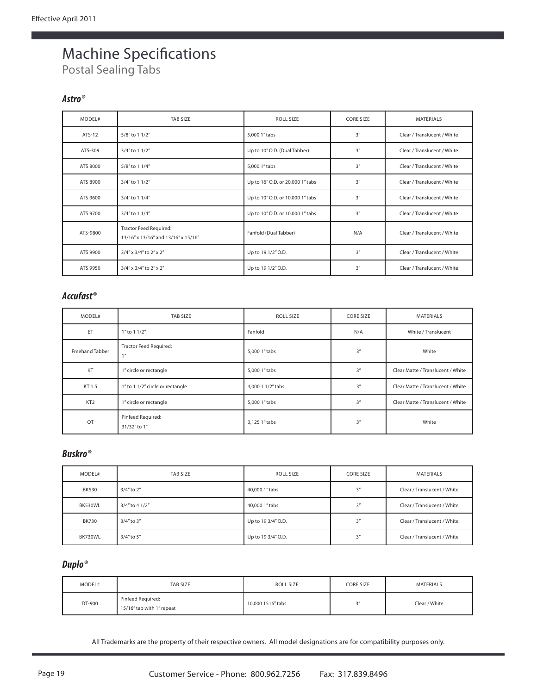# Machine Specifications

Postal Sealing Tabs

### *Astro®*

| MODEL#   | TAB SIZE                                                      | ROLL SIZE                        | <b>CORE SIZE</b> | <b>MATERIALS</b>            |
|----------|---------------------------------------------------------------|----------------------------------|------------------|-----------------------------|
| $ATS-12$ | 5/8" to 1 1/2"                                                | 5,000 1" tabs                    | 3''              | Clear / Translucent / White |
| ATS-309  | 3/4" to 1 1/2"                                                | Up to 10" O.D. (Dual Tabber)     | 3''              | Clear / Translucent / White |
| ATS 8000 | 5/8" to 1 1/4"                                                | 5,000 1" tabs                    | 3 <sup>n</sup>   | Clear / Translucent / White |
| ATS 8900 | 3/4" to 1 1/2"                                                | Up to 16" O.D. or 20,000 1" tabs | 3''              | Clear / Translucent / White |
| ATS 9600 | 3/4" to 1 1/4"                                                | Up to 10" O.D. or 10,000 1" tabs | 3''              | Clear / Translucent / White |
| ATS 9700 | 3/4" to 1 1/4"                                                | Up to 10" O.D. or 10,000 1" tabs | 3''              | Clear / Translucent / White |
| ATS-9800 | Tractor Feed Required:<br>13/16" x 13/16" and 13/16" x 15/16" | Fanfold (Dual Tabber)            | N/A              | Clear / Translucent / White |
| ATS 9900 | 3/4" x 3/4" to 2" x 2"                                        | Up to 19 1/2" O.D.               | 3 <sup>n</sup>   | Clear / Translucent / White |
| ATS 9950 | 3/4" x 3/4" to 2" x 2"                                        | Up to 19 1/2" O.D.               | 3 <sup>n</sup>   | Clear / Translucent / White |

### *Accufast®*

| MODEL#          | TAB SIZE                                   | ROLL SIZE         | <b>CORE SIZE</b> | <b>MATERIALS</b>                  |
|-----------------|--------------------------------------------|-------------------|------------------|-----------------------------------|
| ET              | 1" to 1 1/2"                               | Fanfold           | N/A              | White / Translucent               |
| Freehand Tabber | <b>Tractor Feed Required:</b><br>$1$ $\mu$ | 5,000 1" tabs     | 3''              | White                             |
| KT              | 1" circle or rectangle                     | 5,000 1" tabs     | 3''              | Clear Matte / Translucent / White |
| KT 1.5          | 1" to 1 1/2" circle or rectangle           | 4,000 1 1/2" tabs | 3''              | Clear Matte / Translucent / White |
| KT <sub>2</sub> | 1" circle or rectangle                     | 5,000 1" tabs     | 3''              | Clear Matte / Translucent / White |
| QT              | Pinfeed Required:<br>31/32" to 1"          | 3,125 1" tabs     | 3''              | White                             |

#### *Buskro®*

| MODEL#       | TAB SIZE       | ROLL SIZE          | <b>CORE SIZE</b> | <b>MATERIALS</b>            |
|--------------|----------------|--------------------|------------------|-----------------------------|
| <b>BK530</b> | $3/4"$ to $2"$ | 40,000 1" tabs     | 3''              | Clear / Translucent / White |
| BK530WL      | 3/4" to 4 1/2" | 40,000 1" tabs     | 3''              | Clear / Translucent / White |
| <b>BK730</b> | $3/4"$ to $3"$ | Up to 19 3/4" O.D. | 3''              | Clear / Translucent / White |
| BK730WL      | $3/4"$ to $5"$ | Up to 19 3/4" O.D. | 3''              | Clear / Translucent / White |

### *Duplo®*

| MODEL# | TAB SIZE                                       | ROLL SIZE         | <b>CORE SIZE</b> | <b>MATERIALS</b> |
|--------|------------------------------------------------|-------------------|------------------|------------------|
| DT-900 | Pinfeed Required:<br>15/16" tab with 1" repeat | 10,000 1516" tabs |                  | Clear / White    |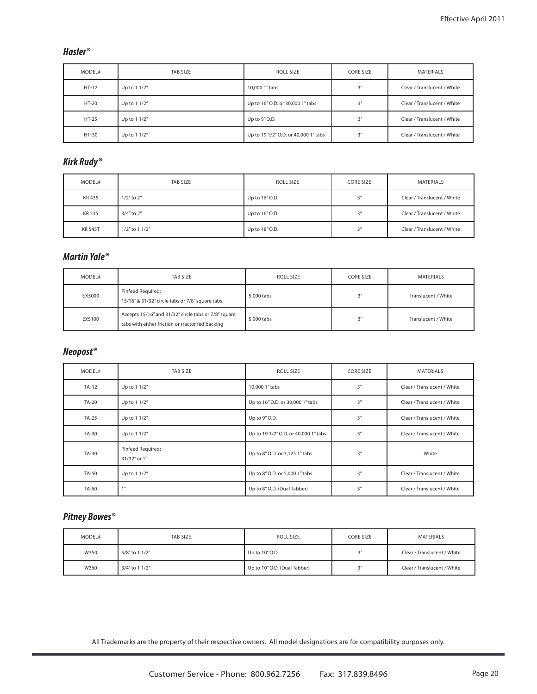### *Hasler®*

| MODEL#       | TAB SIZE     | ROLL SIZE                            | <b>CORE SIZE</b> | MATERIALS                   |
|--------------|--------------|--------------------------------------|------------------|-----------------------------|
| $HT-12$      | Up to 1 1/2" | 10,000 1" tabs                       | 3''              | Clear / Translucent / White |
| HT-20        | Up to 1 1/2" | Up to 16" O.D. or 30,000 1" tabs     | 3''              | Clear / Translucent / White |
| <b>HT-25</b> | Up to 1 1/2" | Up to 9" O.D.                        | 3''              | Clear / Translucent / White |
| HT-30        | Up to 1 1/2" | Up to 19 1/2" O.D. or 40,000 1" tabs | 3''              | Clear / Translucent / White |

### *Kirk Rudy®*

| MODEL#         | TAB SIZE            | ROLL SIZE      | <b>CORE SIZE</b> | MATERIALS                   |
|----------------|---------------------|----------------|------------------|-----------------------------|
| KR 435         | $1/2$ " to $2$ "    | Up to 16" O.D. | 2 <sup>n</sup>   | Clear / Translucent / White |
| KR 535         | $3/4"$ to $2"$      | Up to 16" O.D. | 2 <sup>n</sup>   | Clear / Translucent / White |
| <b>KR 545T</b> | $1/2$ " to $11/2$ " | Up to 18" O.D. | 2 <sup>n</sup>   | Clear / Translucent / White |

### *Martin Yale®*

| MODEL# | TAB SIZE                                                                                                 | ROLL SIZE  | <b>CORE SIZE</b> | <b>MATERIALS</b>    |
|--------|----------------------------------------------------------------------------------------------------------|------------|------------------|---------------------|
| EX5000 | Pinfeed Required:<br>15/16" & 31/32" circle tabs or 7/8" square tabs                                     | 5.000 tabs | 3''              | Translucent / White |
| EX5100 | Accepts 15/16" and 31/32" circle tabs or 7/8" square<br>tabs with either friction or tractor fed backing | 5.000 tabs | 2 <sup>n</sup>   | Translucent / White |

### *Neopost®*

| MODEL#  | TAB SIZE                          | <b>ROLL SIZE</b>                     | <b>CORE SIZE</b> | <b>MATERIALS</b>            |
|---------|-----------------------------------|--------------------------------------|------------------|-----------------------------|
| $TA-12$ | Up to 1 1/2"                      | 10,000 1" tabs                       | 3''              | Clear / Translucent / White |
| TA-20   | Up to 1 1/2"                      | Up to 16" O.D. or 30,000 1" tabs     | 3''              | Clear / Translucent / White |
| $TA-25$ | Up to 1 1/2"                      | Up to 9" O.D.                        | 3''              | Clear / Translucent / White |
| TA-30   | Up to 1 1/2"                      | Up to 19 1/2" O.D. or 40,000 1" tabs | 3''              | Clear / Translucent / White |
| TA-40   | Pinfeed Required:<br>31/32" or 1" | Up to 8" O.D. or 3,125 1" tabs       | 3''              | White                       |
| TA-50   | Up to 1 1/2"                      | Up to 8" O.D. or 5,000 1" tabs       | 3''              | Clear / Translucent / White |
| TA-60   | 1 <sup>H</sup>                    | Up to 8" O.D. (Dual Tabber)          | 3''              | Clear / Translucent / White |

### *Pitney Bowes®*

| MODEL# | TAB SIZE       | ROLL SIZE                    | <b>CORE SIZE</b> | MATERIALS                   |
|--------|----------------|------------------------------|------------------|-----------------------------|
| W350   | 5/8" to 1 1/2" | Up to 10" O.D.               | 2 <sup>''</sup>  | Clear / Translucent / White |
| W360   | 3/4" to 1 1/2" | Up to 10" O.D. (Dual Tabber) | 2''              | Clear / Translucent / White |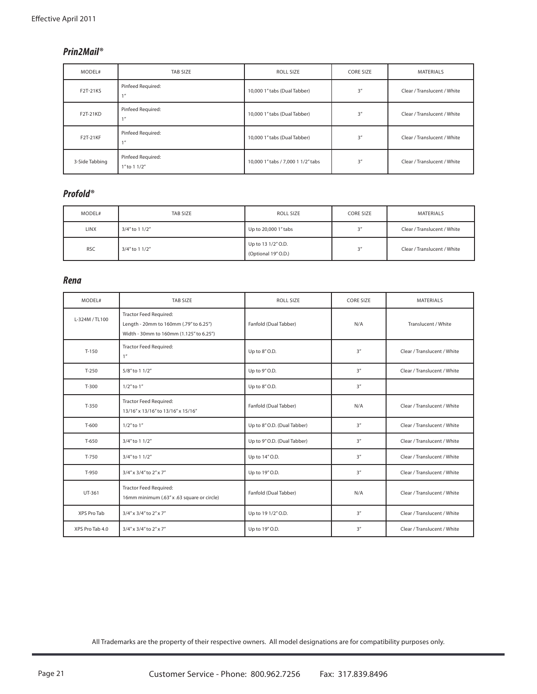### *Prin2Mail®*

| MODEL#         | TAB SIZE                          | ROLL SIZE                          | <b>CORE SIZE</b> | <b>MATERIALS</b>            |
|----------------|-----------------------------------|------------------------------------|------------------|-----------------------------|
| F2T-21KS       | Pinfeed Required:<br>$1$ $\pi$    | 10,000 1" tabs (Dual Tabber)       | 3''              | Clear / Translucent / White |
| F2T-21KD       | Pinfeed Required:<br>$1$ $\pi$    | 10,000 1" tabs (Dual Tabber)       | 3''              | Clear / Translucent / White |
| F2T-21KF       | Pinfeed Required:<br>A            | 10,000 1" tabs (Dual Tabber)       | 3''              | Clear / Translucent / White |
| 3-Side Tabbing | Pinfeed Required:<br>1" to 1 1/2" | 10,000 1" tabs / 7,000 1 1/2" tabs | 3''              | Clear / Translucent / White |

### *Profold®*

| MODEL#      | TAB SIZE       | ROLL SIZE                                 | <b>CORE SIZE</b> | MATERIALS                   |
|-------------|----------------|-------------------------------------------|------------------|-----------------------------|
| <b>LINX</b> | 3/4" to 1 1/2" | Up to 20,000 1" tabs                      | 2 <sup>n</sup>   | Clear / Translucent / White |
| <b>RSC</b>  | 3/4" to 1 1/2" | Up to 13 1/2" O.D.<br>(Optional 19" O.D.) | 2 <sup>n</sup>   | Clear / Translucent / White |

#### *Rena*

| MODEL#             | <b>TAB SIZE</b>                                                                                                    | ROLL SIZE                   | <b>CORE SIZE</b> | <b>MATERIALS</b>            |
|--------------------|--------------------------------------------------------------------------------------------------------------------|-----------------------------|------------------|-----------------------------|
| L-324M/TL100       | <b>Tractor Feed Required:</b><br>Length - 20mm to 160mm (.79" to 6.25")<br>Width - 30mm to 160mm (1.125" to 6.25") | Fanfold (Dual Tabber)       | N/A              | Translucent / White         |
| $T-150$            | <b>Tractor Feed Required:</b><br>1 <sup>n</sup>                                                                    | Up to 8" O.D.               | 3''              | Clear / Translucent / White |
| $T-250$            | 5/8" to 1 1/2"                                                                                                     | Up to 9" O.D.               | 3''              | Clear / Translucent / White |
| $T-300$            | $1/2$ " to $1$ "                                                                                                   | Up to 8" O.D.               | 3''              |                             |
| $T-350$            | <b>Tractor Feed Required:</b><br>13/16" x 13/16" to 13/16" x 15/16"                                                | Fanfold (Dual Tabber)       | N/A              | Clear / Translucent / White |
| $T-600$            | $1/2$ " to $1$ "                                                                                                   | Up to 8" O.D. (Dual Tabber) | 3''              | Clear / Translucent / White |
| $T-650$            | 3/4" to 1 1/2"                                                                                                     | Up to 9" O.D. (Dual Tabber) | 3''              | Clear / Translucent / White |
| $T-750$            | 3/4" to 1 1/2"                                                                                                     | Up to 14" O.D.              | 3''              | Clear / Translucent / White |
| T-950              | 3/4" x 3/4" to 2" x 7"                                                                                             | Up to 19" O.D.              | 3''              | Clear / Translucent / White |
| UT-361             | <b>Tractor Feed Required:</b><br>16mm minimum (.63" x .63 square or circle)                                        | Fanfold (Dual Tabber)       | N/A              | Clear / Translucent / White |
| <b>XPS Pro Tab</b> | 3/4" x 3/4" to 2" x 7"                                                                                             | Up to 19 1/2" O.D.          | 3''              | Clear / Translucent / White |
| XPS Pro Tab 4.0    | 3/4" x 3/4" to 2" x 7"                                                                                             | Up to 19" O.D.              | 3''              | Clear / Translucent / White |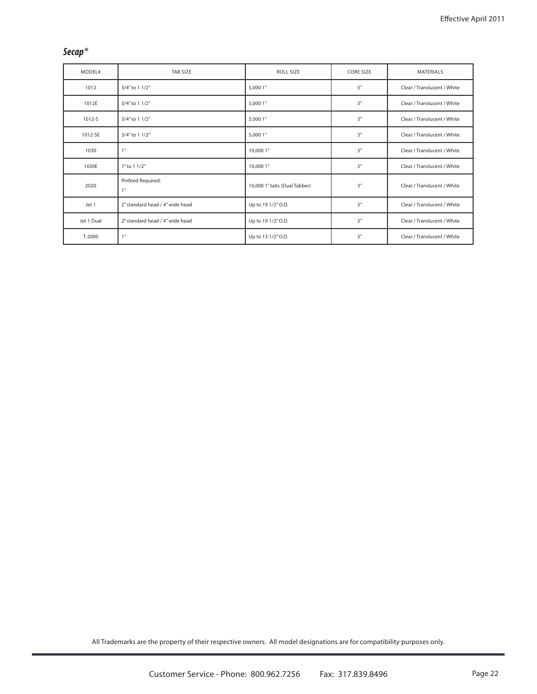### *Secap®*

| MODEL#     | <b>TAB SIZE</b>                     | <b>ROLL SIZE</b>             | <b>CORE SIZE</b> | <b>MATERIALS</b>            |
|------------|-------------------------------------|------------------------------|------------------|-----------------------------|
| 1012       | 3/4" to 1 1/2"                      | 5.000 1"                     | 3''              | Clear / Translucent / White |
| 1012E      | 3/4" to 1 1/2"                      | 5,000 1"                     | 3''              | Clear / Translucent / White |
| 1012-S     | 3/4" to 1 1/2"                      | 5,000 1"                     | 3''              | Clear / Translucent / White |
| 1012-SE    | 3/4" to 1 1/2"                      | 5,000 1"                     | 3''              | Clear / Translucent / White |
| 1030       | 1 <sup>n</sup>                      | 10,000 1"                    | 3''              | Clear / Translucent / White |
| 1030E      | 1" to 1 1/2"                        | 10,000 1"                    | 3''              | Clear / Translucent / White |
| 2020       | Pinfeed Required:<br>1 <sup>n</sup> | 10,000 1" tabs (Dual Tabber) | 3''              | Clear / Translucent / White |
| Jet 1      | 2" standard head / 4" wide head     | Up to 19 1/2" O.D.           | 3''              | Clear / Translucent / White |
| Jet 1 Dual | 2" standard head / 4" wide head     | Up to 19 1/2" O.D.           | 3''              | Clear / Translucent / White |
| T-2000     | 1 <sup>n</sup>                      | Up to 13 1/2" O.D.           | 3''              | Clear / Translucent / White |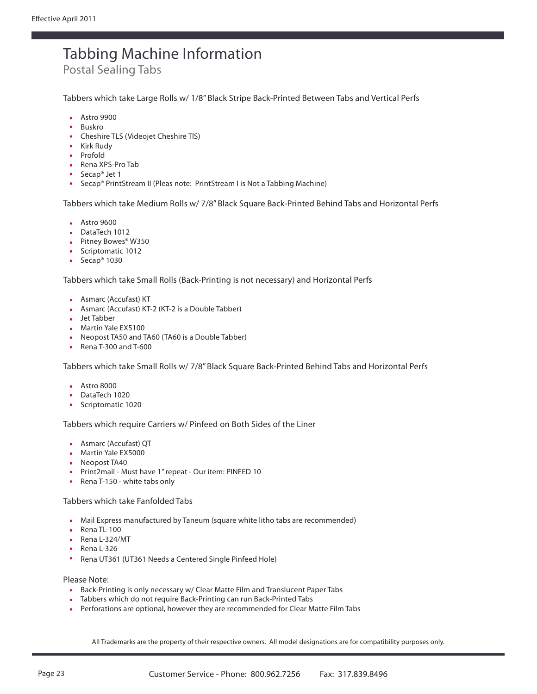# Tabbing Machine Information

Postal Sealing Tabs

Tabbers which take Large Rolls w/ 1/8" Black Stripe Back-Printed Between Tabs and Vertical Perfs

- Astro 9900
- Buskro
- Cheshire TLS (Videojet Cheshire TIS)
- Kirk Rudy
- Profold
- Rena XPS-Pro Tab
- Secap® Jet 1
- Secap® PrintStream II (Pleas note: PrintStream I is Not a Tabbing Machine)

Tabbers which take Medium Rolls w/ 7/8" Black Square Back-Printed Behind Tabs and Horizontal Perfs

- Astro 9600
- DataTech 1012
- Pitney Bowes® W350
- Scriptomatic 1012
- $\bullet$  Secap<sup>®</sup> 1030

Tabbers which take Small Rolls (Back-Printing is not necessary) and Horizontal Perfs

- Asmarc (Accufast) KT
- Asmarc (Accufast) KT-2 (KT-2 is a Double Tabber)
- Jet Tabber
- Martin Yale EX5100
- Neopost TA50 and TA60 (TA60 is a Double Tabber)
- Rena T-300 and T-600

Tabbers which take Small Rolls w/ 7/8" Black Square Back-Printed Behind Tabs and Horizontal Perfs

- Astro 8000
- DataTech 1020
- Scriptomatic 1020

Tabbers which require Carriers w/ Pinfeed on Both Sides of the Liner

- Asmarc (Accufast) QT
- Martin Yale EX5000
- Neopost TA40
- Print2mail Must have 1" repeat Our item: PINFED 10
- Rena T-150 white tabs only

#### Tabbers which take Fanfolded Tabs

- Mail Express manufactured by Taneum (square white litho tabs are recommended)
- $\bullet$  Rena TL-100
- $\cdot$  Rena L-324/MT
- $\bullet$  Rena L-326
- Rena UT361 (UT361 Needs a Centered Single Pinfeed Hole)

Please Note:

- Back-Printing is only necessary w/ Clear Matte Film and Translucent Paper Tabs
- Tabbers which do not require Back-Printing can run Back-Printed Tabs
- Perforations are optional, however they are recommended for Clear Matte Film Tabs